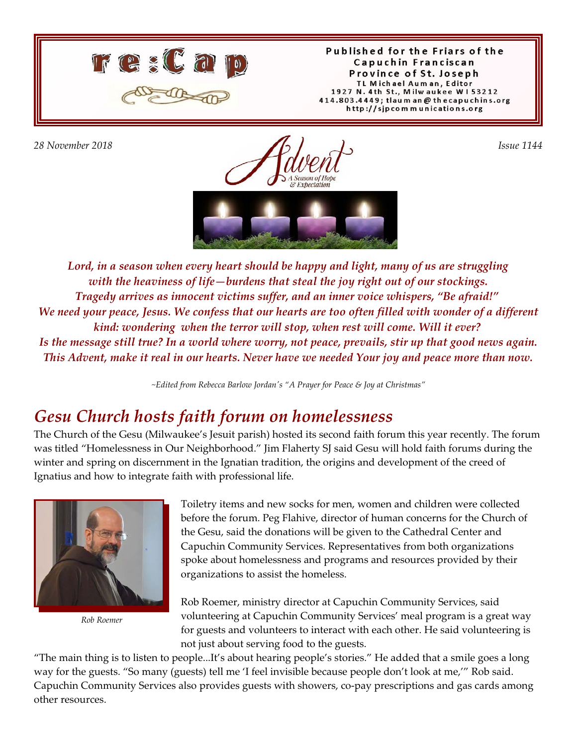

Published for the Friars of the Capuchin Franciscan Province of St. Joseph TL Michael Auman, Editor 1927 N. 4th St., Milwaukee W153212 414.803.4449; tlaum an @ thecapuchins.org http://sjpcommunications.org

*28 November 2018 Issue 1144* A Season of Hobe & Expectation



*Lord, in a season when every heart should be happy and light, many of us are struggling with the heaviness of life—burdens that steal the joy right out of our stockings. Tragedy arrives as innocent victims suffer, and an inner voice whispers, "Be afraid!" We need your peace, Jesus. We confess that our hearts are too often filled with wonder of a different kind: wondering when the terror will stop, when rest will come. Will it ever? Is the message still true? In a world where worry, not peace, prevails, stir up that good news again. This Advent, make it real in our hearts. Never have we needed Your joy and peace more than now.*

*~Edited from Rebecca Barlow Jordan's "A Prayer for Peace & Joy at Christmas"*

#### *Gesu Church hosts faith forum on homelessness*

The Church of the Gesu (Milwaukee's Jesuit parish) hosted its second faith forum this year recently. The forum was titled "Homelessness in Our Neighborhood." Jim Flaherty SJ said Gesu will hold faith forums during the winter and spring on discernment in the Ignatian tradition, the origins and development of the creed of Ignatius and how to integrate faith with professional life.



*Rob Roemer*

Toiletry items and new socks for men, women and children were collected before the forum. Peg Flahive, director of human concerns for the Church of the Gesu, said the donations will be given to the Cathedral Center and Capuchin Community Services. Representatives from both organizations spoke about homelessness and programs and resources provided by their organizations to assist the homeless.

Rob Roemer, ministry director at Capuchin Community Services, said volunteering at Capuchin Community Services' meal program is a great way for guests and volunteers to interact with each other. He said volunteering is not just about serving food to the guests.

"The main thing is to listen to people...It's about hearing people's stories." He added that a smile goes a long way for the guests. "So many (guests) tell me 'I feel invisible because people don't look at me,'" Rob said. Capuchin Community Services also provides guests with showers, co-pay prescriptions and gas cards among other resources.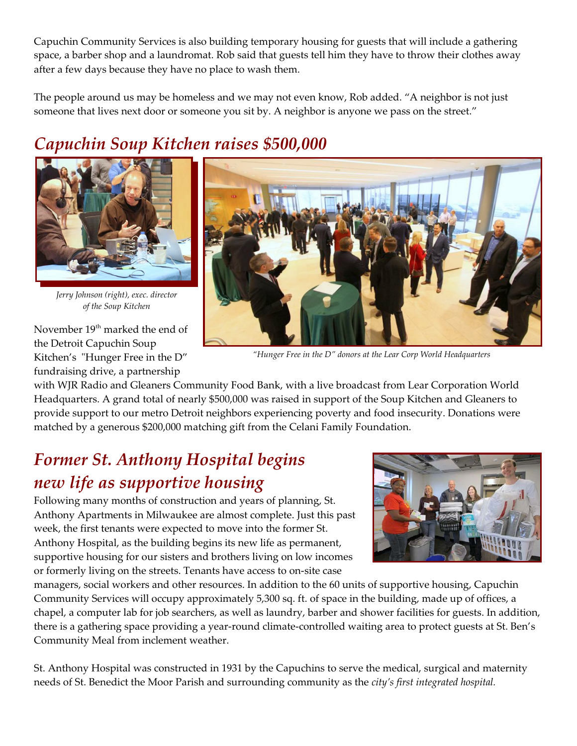Capuchin Community Services is also building temporary housing for guests that will include a gathering space, a barber shop and a laundromat. Rob said that guests tell him they have to throw their clothes away after a few days because they have no place to wash them.

The people around us may be homeless and we may not even know, Rob added. "A neighbor is not just someone that lives next door or someone you sit by. A neighbor is anyone we pass on the street."

## *Capuchin Soup Kitchen raises \$500,000*



*Jerry Johnson (right), exec. director of the Soup Kitchen*

November 19<sup>th</sup> marked the end of the Detroit Capuchin Soup Kitchen's "Hunger Free in the D" fundraising drive, a partnership



*"Hunger Free in the D" donors at the Lear Corp World Headquarters* 

with WJR Radio and Gleaners Community Food Bank, with a live broadcast from Lear Corporation World Headquarters. A grand total of nearly \$500,000 was raised in support of the Soup Kitchen and Gleaners to provide support to our metro Detroit neighbors experiencing poverty and food insecurity. Donations were matched by a generous \$200,000 matching gift from the Celani Family Foundation.

#### *Former St. Anthony Hospital begins new life as supportive housing*

Following many months of construction and years of planning, St. Anthony Apartments in Milwaukee are almost complete. Just this past week, the first tenants were expected to move into the former St. Anthony Hospital, as the building begins its new life as permanent, supportive housing for our sisters and brothers living on low incomes or formerly living on the streets. Tenants have access to on-site case



managers, social workers and other resources. In addition to the 60 units of supportive housing, Capuchin Community Services will occupy approximately 5,300 sq. ft. of space in the building, made up of offices, a chapel, a computer lab for job searchers, as well as laundry, barber and shower facilities for guests. In addition, there is a gathering space providing a year-round climate-controlled waiting area to protect guests at St. Ben's Community Meal from inclement weather.

St. Anthony Hospital was constructed in 1931 by the Capuchins to serve the medical, surgical and maternity needs of St. Benedict the Moor Parish and surrounding community as the *city's first integrated hospital.*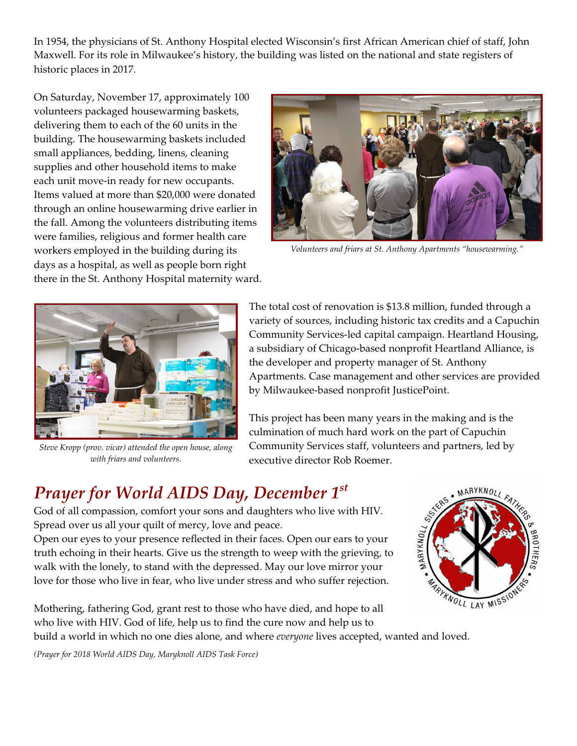In 1954, the physicians of St. Anthony Hospital elected Wisconsin's first African American chief of staff, John Maxwell. For its role in Milwaukee's history, the building was listed on the national and state registers of historic places in 2017.

On Saturday, November 17, approximately 100 volunteers packaged housewarming baskets, delivering them to each of the 60 units in the building. The housewarming baskets included small appliances, bedding, linens, cleaning supplies and other household items to make each unit move-in ready for new occupants. Items valued at more than \$20,000 were donated through an online housewarming drive earlier in the fall. Among the volunteers distributing items were families, religious and former health care workers employed in the building during its days as a hospital, as well as people born right there in the St. Anthony Hospital maternity ward.



*Volunteers and friars at St. Anthony Apartments "housewarming."*



*Steve Kropp (prov. vicar) attended the open house, along with friars and volunteers.*

The total cost of renovation is \$13.8 million, funded through a variety of sources, including historic tax credits and a Capuchin Community Services-led capital campaign. Heartland Housing, a subsidiary of Chicago-based nonprofit Heartland Alliance, is the developer and property manager of St. Anthony Apartments. Case management and other services are provided by Milwaukee-based nonprofit JusticePoint.

This project has been many years in the making and is the culmination of much hard work on the part of Capuchin Community Services staff, volunteers and partners, led by executive director Rob Roemer.

### *Prayer for World AIDS Day, December 1st*

God of all compassion, comfort your sons and daughters who live with HIV. Spread over us all your quilt of mercy, love and peace.

Open our eyes to your presence reflected in their faces. Open our ears to your truth echoing in their hearts. Give us the strength to weep with the grieving, to walk with the lonely, to stand with the depressed. May our love mirror your love for those who live in fear, who live under stress and who suffer rejection.



Mothering, fathering God, grant rest to those who have died, and hope to all who live with HIV. God of life, help us to find the cure now and help us to build a world in which no one dies alone, and where *everyone* lives accepted, wanted and loved.

*(Prayer for 2018 World AIDS Day, Maryknoll AIDS Task Force)*